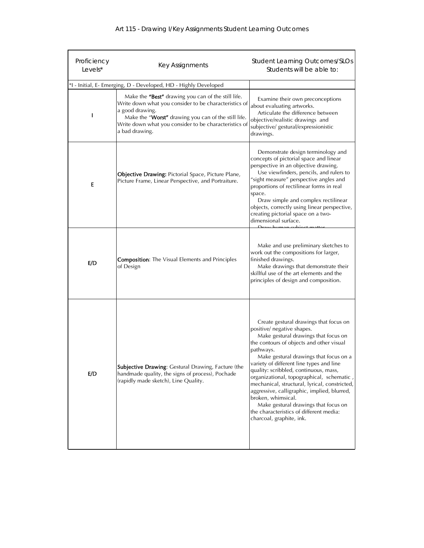| Proficiency                                                     | Key Assignments                                                                                                                                                                                                                                                  | <b>Student Learning Outcomes/SLOs</b>                                                                                                                                                                                                                                                                                                                                                                                                                                                                                                                                                  |
|-----------------------------------------------------------------|------------------------------------------------------------------------------------------------------------------------------------------------------------------------------------------------------------------------------------------------------------------|----------------------------------------------------------------------------------------------------------------------------------------------------------------------------------------------------------------------------------------------------------------------------------------------------------------------------------------------------------------------------------------------------------------------------------------------------------------------------------------------------------------------------------------------------------------------------------------|
| Levels*                                                         |                                                                                                                                                                                                                                                                  | Students will be able to:                                                                                                                                                                                                                                                                                                                                                                                                                                                                                                                                                              |
| *I - Initial, E- Emerging, D - Developed, HD - Highly Developed |                                                                                                                                                                                                                                                                  |                                                                                                                                                                                                                                                                                                                                                                                                                                                                                                                                                                                        |
|                                                                 | Make the "Best" drawing you can of the still life.<br>Write down what you consider to be characteristics of<br>a good drawing.<br>Make the "Worst" drawing you can of the still life.<br>Write down what you consider to be characteristics of<br>a bad drawing. | Examine their own preconceptions<br>about evaluating artworks.<br>Articulate the difference between<br>objective/realistic drawings and<br>subjective/ gestural/expressionistic<br>drawings.                                                                                                                                                                                                                                                                                                                                                                                           |
| E                                                               | Objective Drawing: Pictorial Space, Picture Plane,<br>Picture Frame, Linear Perspective, and Portraiture.                                                                                                                                                        | Demonstrate design terminology and<br>concepts of pictorial space and linear<br>perspective in an objective drawing.<br>Use viewfinders, pencils, and rulers to<br>"sight measure" perspective angles and<br>proportions of rectilinear forms in real<br>space.<br>Draw simple and complex rectilinear<br>objects, correctly using linear perspective,<br>creating pictorial space on a two-<br>dimensional surface.                                                                                                                                                                   |
| E/D                                                             | <b>Composition:</b> The Visual Elements and Principles<br>of Design                                                                                                                                                                                              | Make and use preliminary sketches to<br>work out the compositions for larger,<br>finished drawings.<br>Make drawings that demonstrate their<br>skillful use of the art elements and the<br>principles of design and composition.                                                                                                                                                                                                                                                                                                                                                       |
| E/D                                                             | Subjective Drawing: Gestural Drawing, Facture (the<br>handmade quality, the signs of process), Pochade<br>(rapidly made sketch), Line Quality.                                                                                                                   | Create gestural drawings that focus on<br>positive/ negative shapes.<br>Make gestural drawings that focus on<br>the contours of objects and other visual<br>pathways.<br>Make gestural drawings that focus on a<br>variety of different line types and line<br>quality: scribbled, continuous, mass,<br>organizational, topographical, schematic,<br>mechanical, structural, lyrical, constricted,<br>aggressive, calligraphic, implied, blurred,<br>broken, whimsical.<br>Make gestural drawings that focus on<br>the characteristics of different media:<br>charcoal, graphite, ink. |